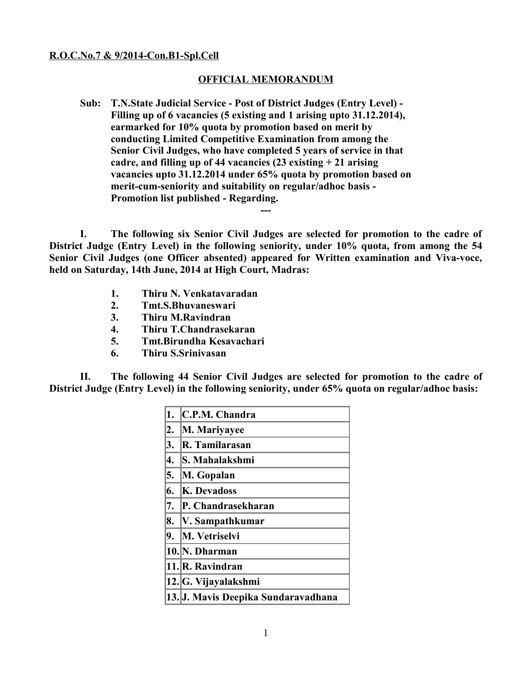## **R.O.C.No.7 & 9/2014-Con.B1-Spl.Cell**

## **OFFICIAL MEMORANDUM**

**Sub: T.N.State Judicial Service - Post of District Judges (Entry Level) - Filling up of 6 vacancies (5 existing and 1 arising upto 31.12.2014), earmarked for 10% quota by promotion based on merit by conducting Limited Competitive Examination from among the Senior Civil Judges, who have completed 5 years of service in that cadre, and filling up of 44 vacancies (23 existing + 21 arising vacancies upto 31.12.2014 under 65% quota by promotion based on merit-cum-seniority and suitability on regular/adhoc basis - Promotion list published - Regarding.**

**I. The following six Senior Civil Judges are selected for promotion to the cadre of District Judge (Entry Level) in the following seniority, under 10% quota, from among the 54 Senior Civil Judges (one Officer absented) appeared for Written examination and Viva-voce, held on Saturday, 14th June, 2014 at High Court, Madras:**

**---**

- **1. Thiru N. Venkatavaradan**
- **2. Tmt.S.Bhuvaneswari**
- **3. Thiru M.Ravindran**
- **4. Thiru T.Chandrasekaran**
- **5. Tmt.Birundha Kesavachari**
- **6. Thiru S.Srinivasan**

**II. The following 44 Senior Civil Judges are selected for promotion to the cadre of District Judge (Entry Level) in the following seniority, under 65% quota on regular/adhoc basis:**

| 1. | C.P.M. Chandra                      |
|----|-------------------------------------|
| 2. | M. Mariyayee                        |
| 3. | R. Tamilarasan                      |
| 4. | S. Mahalakshmi                      |
| 5. | M. Gopalan                          |
| 6. | <b>K. Devadoss</b>                  |
| 7. | P. Chandrasekharan                  |
| 8. | V. Sampathkumar                     |
| 9. | M. Vetriselvi                       |
|    | 10. N. Dharman                      |
|    | 11. R. Ravindran                    |
|    | 12. G. Vijayalakshmi                |
|    | 13. J. Mavis Deepika Sundaravadhana |